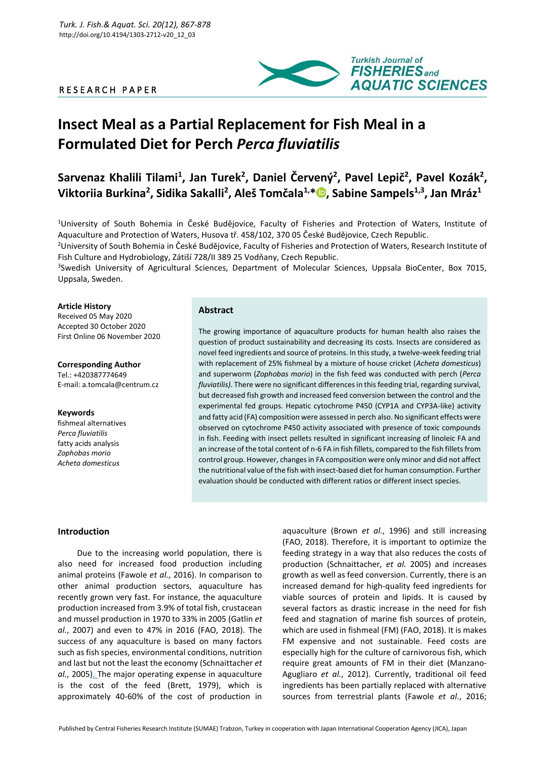# R E S E A R C H P A P E R



# **Insect Meal as a Partial Replacement for Fish Meal in a Formulated Diet for Perch** *Perca fluviatilis*

Sarvenaz Khalili Tilami<sup>1</sup>, Jan Turek<sup>2</sup>, Daniel Červený<sup>2</sup>, Pavel Lepič<sup>2</sup>, Pavel Kozák<sup>2</sup>, **Viktoriia Burkina<sup>2</sup> , Sidika Sakalli<sup>2</sup> , Aleš Tomčala1,[\\*](https://orcid.org/0000-0002-5232-8441) , Sabine Sampels1,3 , Jan Mráz<sup>1</sup>**

<sup>1</sup>University of South Bohemia in České Budějovice, Faculty of Fisheries and Protection of Waters, Institute of Aquaculture and Protection of Waters, Husova tř. 458/102, 370 05 České Budějovice, Czech Republic.

<sup>2</sup>University of South Bohemia in České Budějovice, Faculty of Fisheries and Protection of Waters, Research Institute of Fish Culture and Hydrobiology, Zátiší 728/II 389 25 Vodňany, Czech Republic.

<sup>3</sup>Swedish University of Agricultural Sciences, Department of Molecular Sciences, Uppsala BioCenter, Box 7015, Uppsala, Sweden.

### **Article History**

Received 05 May 2020 Accepted 30 October 2020 First Online 06 November 2020

**Corresponding Author** Tel.: +420387774649 E-mail: a.tomcala@centrum.cz

#### **Keywords** fishmeal alternatives

*Perca fluviatilis* fatty acids analysis *Zophobas morio Acheta domesticus*

## **Abstract**

The growing importance of aquaculture products for human health also raises the question of product sustainability and decreasing its costs. Insects are considered as novel feed ingredients and source of proteins. In this study, a twelve-week feeding trial with replacement of 25% fishmeal by a mixture of house cricket (*Acheta domesticus*) and superworm (*Zophobas morio*) in the fish feed was conducted with perch (*Perca fluviatilis)*. There were no significant differences in this feeding trial, regarding survival, but decreased fish growth and increased feed conversion between the control and the experimental fed groups. Hepatic cytochrome P450 (CYP1A and CYP3A-like) activity and fatty acid (FA) composition were assessed in perch also. No significant effects were observed on cytochrome P450 activity associated with presence of toxic compounds in fish. Feeding with insect pellets resulted in significant increasing of linoleic FA and an increase of the total content of n-6 FA in fish fillets, compared to the fish fillets from control group. However, changes in FA composition were only minor and did not affect the nutritional value of the fish with insect-based diet for human consumption. Further evaluation should be conducted with different ratios or different insect species.

## **Introduction**

Due to the increasing world population, there is also need for increased food production including animal proteins (Fawole *et al.*, 2016). In comparison to other animal production sectors, aquaculture has recently grown very fast. For instance, the aquaculture production increased from 3.9% of total fish, crustacean and mussel production in 1970 to 33% in 2005 (Gatlin *et al.*, 2007) and even to 47% in 2016 (FAO, 2018). The success of any aquaculture is based on many factors such as fish species, environmental conditions, nutrition and last but not the least the economy (Schnaittacher *et al.*, 2005[\). T](#page-11-0)he major operating expense in aquaculture is the cost of the feed (Brett, 1979), which is approximately 40-60% of the cost of production in

aquaculture (Brown *et al.*, 1996) and still increasing (FAO, 2018). Therefore, it is important to optimize the feeding strategy in a way that also reduces the costs of production (Schnaittacher*, et al.* 2005) and increases growth as well as feed conversion. Currently, there is an increased demand for high-quality feed ingredients for viable sources of protein and lipids. It is caused by several factors as drastic increase in the need for fish feed and stagnation of marine fish sources of protein, which are used in fishmeal (FM) (FAO, 2018). It is makes FM expensive and not sustainable. Feed costs are especially high for the culture of carnivorous fish, which require great amounts of FM in their diet (Manzano-Agugliaro *et al.*, 2012). Currently, traditional oil feed ingredients has been partially replaced with alternative sources from terrestrial plants (Fawole *et al.*, 2016;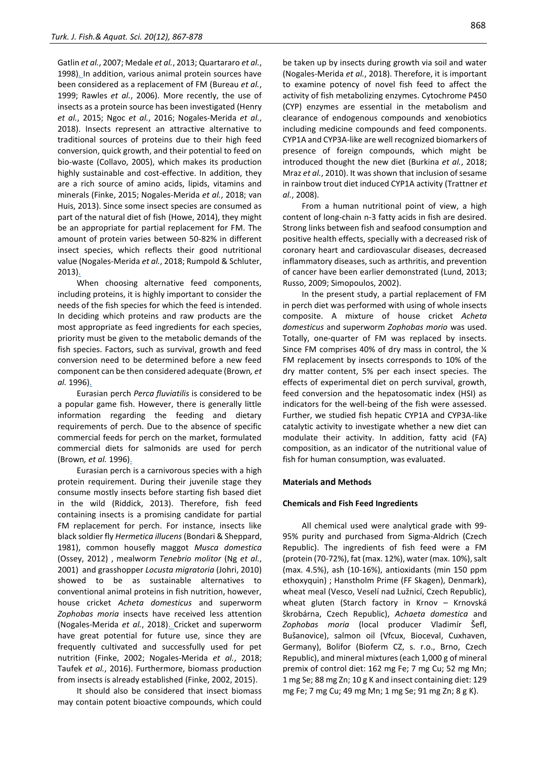Gatlin *et al.*, 2007; Medale *et al.*, 2013; Quartararo *et al.*, 1998[\). In](#page-11-1) addition, various animal protein sources have been considered as a replacement of FM (Bureau *et al.*, 1999; Rawles *et al.*, 2006). More recently, the use of insects as a protein source has been investigated (Henry *et al.*, 2015; Ngoc *et al.*, 2016; Nogales-Merida *et al.*, 2018). Insects represent an attractive alternative to traditional sources of proteins due to their high feed conversion, quick growth, and their potential to feed on bio-waste (Collavo, 2005), which makes its production highly sustainable and cost-effective. In addition, they are a rich source of amino acids, lipids, vitamins and minerals (Finke, 2015; Nogales-Merida *et al.*, 2018; van Huis, 2013). Since some insect species are consumed as part of the natural diet of fish (Howe, 2014), they might be an appropriate for partial replacement for FM. The amount of protein varies between 50-82% in different insect species, which reflects their good nutritional value (Nogales-Merida *et al.*, 2018; Rumpold & Schluter, 2013[\).](#page-11-2)

When choosing alternative feed components, including proteins, it is highly important to consider the needs of the fish species for which the feed is intended. In deciding which proteins and raw products are the most appropriate as feed ingredients for each species, priority must be given to the metabolic demands of the fish species. Factors, such as survival, growth and feed conversion need to be determined before a new feed component can be then considered adequate (Brown*, et al.* 1996[\).](#page-10-0)

Eurasian perch *Perca fluviatilis* is considered to be a popular game fish. However, there is generally little information regarding the feeding and dietary requirements of perch. Due to the absence of specific commercial feeds for perch on the market, formulated commercial diets for salmonids are used for perch (Brown*, et al.* 1996[\).](#page-10-0)

Eurasian perch is a carnivorous species with a high protein requirement. During their juvenile stage they consume mostly insects before starting fish based diet in the wild (Riddick, 2013). Therefore, fish feed containing insects is a promising candidate for partial FM replacement for perch. For instance, insects like black soldier fly *Hermetica illucens* (Bondari & Sheppard, 1981), common housefly maggot *Musca domestica*  (Ossey, 2012) , mealworm *Tenebrio molitor* (Ng *et al.*, 2001) and grasshopper *Locusta migratoria* (Johri, 2010) showed to be as sustainable alternatives to conventional animal proteins in fish nutrition, however, house cricket *Acheta domesticus* and superworm *Zophobas moria* insects have received less attention (Nogales-Merida *et al.*, 2018[\). C](#page-11-3)ricket and superworm have great potential for future use, since they are frequently cultivated and successfully used for pet nutrition (Finke, 2002; Nogales-Merida *et al.*, 2018; Taufek *et al.*, 2016). Furthermore, biomass production from insects is already established (Finke, 2002, 2015).

It should also be considered that insect biomass may contain potent bioactive compounds, which could be taken up by insects during growth via soil and water (Nogales-Merida *et al.*, 2018). Therefore, it is important to examine potency of novel fish feed to affect the activity of fish metabolizing enzymes. Cytochrome P450 (CYP) enzymes are essential in the metabolism and clearance of endogenous compounds and xenobiotics including medicine compounds and feed components. CYP1A and CYP3A-like are well recognized biomarkers of presence of foreign compounds, which might be introduced thought the new diet (Burkina *et al.*, 2018; Mraz *et al.*, 2010). It was shown that inclusion of sesame in rainbow trout diet induced CYP1A activity (Trattner *et al.*, 2008).

From a human nutritional point of view, a high content of long-chain n-3 fatty acids in fish are desired. Strong links between fish and seafood consumption and positive health effects, specially with a decreased risk of coronary heart and cardiovascular diseases, decreased inflammatory diseases, such as arthritis, and prevention of cancer have been earlier demonstrated (Lund, 2013; Russo, 2009; Simopoulos, 2002).

In the present study, a partial replacement of FM in perch diet was performed with using of whole insects composite. A mixture of house cricket *Acheta domesticus* and superworm *Zophobas morio* was used. Totally, one-quarter of FM was replaced by insects. Since FM comprises 40% of dry mass in control, the ¼ FM replacement by insects corresponds to 10% of the dry matter content, 5% per each insect species. The effects of experimental diet on perch survival, growth, feed conversion and the hepatosomatic index (HSI) as indicators for the well-being of the fish were assessed. Further, we studied fish hepatic CYP1A and CYP3A-like catalytic activity to investigate whether a new diet can modulate their activity. In addition, fatty acid (FA) composition, as an indicator of the nutritional value of fish for human consumption, was evaluated.

#### **Materials and Methods**

#### **Chemicals and Fish Feed Ingredients**

All chemical used were analytical grade with 99- 95% purity and purchased from Sigma-Aldrich (Czech Republic). The ingredients of fish feed were a FM (protein (70-72%), fat (max. 12%), water (max. 10%), salt (max. 4.5%), ash (10-16%), antioxidants (min 150 ppm ethoxyquin) ; Hanstholm Prime (FF Skagen), Denmark), wheat meal (Vesco, Veselí nad Lužnicí, Czech Republic), wheat gluten (Starch factory in Krnov – Krnovská škrobárna, Czech Republic), *Achaeta domestica* and *Zophobas moria* (local producer Vladimír Šefl, Bušanovice), salmon oil (Vfcux, Bioceval, Cuxhaven, Germany), Bolifor (Bioferm CZ, s. r.o., Brno, Czech Republic), and mineral mixtures (each 1,000 g of mineral premix of control diet: 162 mg Fe; 7 mg Cu; 52 mg Mn; 1 mg Se; 88 mg Zn; 10 g K and insect containing diet: 129 mg Fe; 7 mg Cu; 49 mg Mn; 1 mg Se; 91 mg Zn; 8 g K).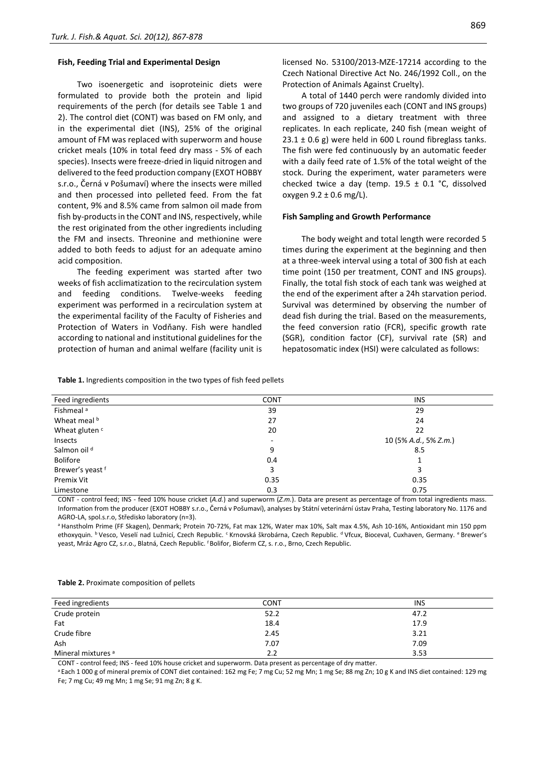#### **Fish, Feeding Trial and Experimental Design**

Two isoenergetic and isoproteinic diets were formulated to provide both the protein and lipid requirements of the perch (for details see Table 1 and 2). The control diet (CONT) was based on FM only, and in the experimental diet (INS), 25% of the original amount of FM was replaced with superworm and house cricket meals (10% in total feed dry mass - 5% of each species). Insects were freeze-dried in liquid nitrogen and delivered to the feed production company (EXOT HOBBY s.r.o., Černá v Pošumaví) where the insects were milled and then processed into pelleted feed. From the fat content, 9% and 8.5% came from salmon oil made from fish by-products in the CONT and INS, respectively, while the rest originated from the other ingredients including the FM and insects. Threonine and methionine were added to both feeds to adjust for an adequate amino acid composition.

The feeding experiment was started after two weeks of fish acclimatization to the recirculation system and feeding conditions. Twelve-weeks feeding experiment was performed in a recirculation system at the experimental facility of the Faculty of Fisheries and Protection of Waters in Vodňany. Fish were handled according to national and institutional guidelines for the protection of human and animal welfare (facility unit is licensed No. 53100/2013-MZE-17214 according to the Czech National Directive Act No. 246/1992 Coll., on the Protection of Animals Against Cruelty).

A total of 1440 perch were randomly divided into two groups of 720 juveniles each (CONT and INS groups) and assigned to a dietary treatment with three replicates. In each replicate, 240 fish (mean weight of  $23.1 \pm 0.6$  g) were held in 600 L round fibreglass tanks. The fish were fed continuously by an automatic feeder with a daily feed rate of 1.5% of the total weight of the stock. During the experiment, water parameters were checked twice a day (temp.  $19.5 \pm 0.1$  °C, dissolved oxygen  $9.2 \pm 0.6$  mg/L).

#### **Fish Sampling and Growth Performance**

The body weight and total length were recorded 5 times during the experiment at the beginning and then at a three-week interval using a total of 300 fish at each time point (150 per treatment, CONT and INS groups). Finally, the total fish stock of each tank was weighed at the end of the experiment after a 24h starvation period. Survival was determined by observing the number of dead fish during the trial. Based on the measurements, the feed conversion ratio (FCR), specific growth rate (SGR), condition factor (CF), survival rate (SR) and hepatosomatic index (HSI) were calculated as follows:

**Table 1.** Ingredients composition in the two types of fish feed pellets

| Feed ingredients          | <b>CONT</b> | <b>INS</b>            |
|---------------------------|-------------|-----------------------|
|                           |             |                       |
| Fishmeal <sup>a</sup>     | 39          | 29                    |
| Wheat meal b              | 27          | 24                    |
| Wheat gluten <sup>c</sup> | 20          | 22                    |
| Insects                   | ٠           | 10 (5% A.d., 5% Z.m.) |
| Salmon oil <sup>d</sup>   | 9           | 8.5                   |
| <b>Bolifore</b>           | 0.4         |                       |
| Brewer's yeast f          | 3           | 3                     |
| Premix Vit                | 0.35        | 0.35                  |
| Limestone                 | 0.3         | 0.75                  |

CONT - control feed; INS - feed 10% house cricket (*A.d.*) and superworm (*Z.m.*). Data are present as percentage of from total ingredients mass. Information from the producer (EXOT HOBBY s.r.o., Černá v Pošumaví), analyses by Státní veterinární ústav Praha, Testing laboratory No. 1176 and AGRO-LA, spol.s.r.o, Středisko laboratory (n=3).

<sup>a</sup> Hanstholm Prime (FF Skagen), Denmark; Protein 70-72%, Fat max 12%, Water max 10%, Salt max 4.5%, Ash 10-16%, Antioxidant min 150 ppm ethoxyquin. <sup>b</sup> Vesco, Veselí nad Lužnicí, Czech Republic. <sup>c</sup> Krnovská škrobárna, Czech Republic. <sup>d</sup> Vfcux, Bioceval, Cuxhaven, Germany. <sup>e</sup> Brewer's yeast, Mráz Agro CZ, s.r.o., Blatná, Czech Republic. <sup>f</sup> Bolifor, Bioferm CZ, s. r.o., Brno, Czech Republic.

| Table 2. Proximate composition of pellets |  |  |
|-------------------------------------------|--|--|
|-------------------------------------------|--|--|

| Feed ingredients              | <b>CONT</b> | <b>INS</b> |
|-------------------------------|-------------|------------|
| Crude protein                 | 52.2        | 47.2       |
| Fat                           | 18.4        | 17.9       |
| Crude fibre                   | 2.45        | 3.21       |
| Ash                           | 7.07        | 7.09       |
| Mineral mixtures <sup>a</sup> | 2.2         | 3.53       |

CONT - control feed; INS - feed 10% house cricket and superworm. Data present as percentage of dry matter.

<sup>a</sup> Each 1 000 g of mineral premix of CONT diet contained: 162 mg Fe; 7 mg Cu; 52 mg Mn; 1 mg Se; 88 mg Zn; 10 g K and INS diet contained: 129 mg Fe; 7 mg Cu; 49 mg Mn; 1 mg Se; 91 mg Zn; 8 g K.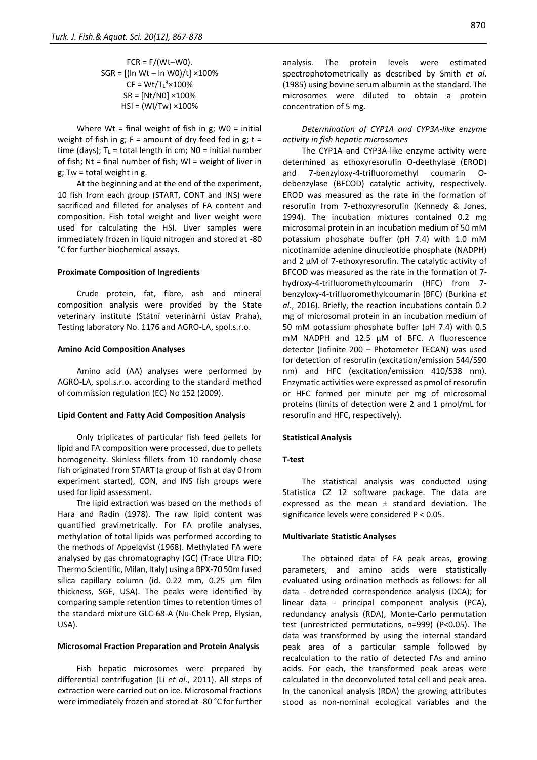$$
FCR = F/(Wt-W0).
$$
  
\n
$$
SGR = [( \ln Wt - \ln W0)/t] \times 100\%
$$
  
\n
$$
CF = Wt/T_t^3 \times 100\%
$$
  
\n
$$
SR = [Nt/NO] \times 100\%
$$
  
\n
$$
HSI = (Wl/Tw) \times 100\%
$$

Where Wt = final weight of fish in  $g$ ; W0 = initial weight of fish in g;  $F =$  amount of dry feed fed in g;  $t =$ time (days);  $T_L$  = total length in cm; N0 = initial number of fish; Nt = final number of fish; Wl = weight of liver in g; Tw = total weight in g.

At the beginning and at the end of the experiment, 10 fish from each group (START, CONT and INS) were sacrificed and filleted for analyses of FA content and composition. Fish total weight and liver weight were used for calculating the HSI. Liver samples were immediately frozen in liquid nitrogen and stored at -80 °C for further biochemical assays.

#### **Proximate Composition of Ingredients**

Crude protein, fat, fibre, ash and mineral composition analysis were provided by the State veterinary institute (Státní veterinární ústav Praha), Testing laboratory No. 1176 and AGRO-LA, spol.s.r.o.

## **Amino Acid Composition Analyses**

Amino acid (AA) analyses were performed by AGRO-LA, spol.s.r.o. according to the standard method of commission regulation (EC) No 152 (2009).

#### **Lipid Content and Fatty Acid Composition Analysis**

Only triplicates of particular fish feed pellets for lipid and FA composition were processed, due to pellets homogeneity. Skinless fillets from 10 randomly chose fish originated from START (a group of fish at day 0 from experiment started), CON, and INS fish groups were used for lipid assessment.

The lipid extraction was based on the methods of Hara and Radin (1978). The raw lipid content was quantified gravimetrically. For FA profile analyses, methylation of total lipids was performed according to the methods of Appelqvist (1968). Methylated FA were analysed by gas chromatography (GC) (Trace Ultra FID; Thermo Scientific, Milan, Italy) using a BPX-70 50m fused silica capillary column (id. 0.22 mm, 0.25 μm film thickness, SGE, USA). The peaks were identified by comparing sample retention times to retention times of the standard mixture GLC-68-A (Nu-Chek Prep, Elysian, USA).

## **Microsomal Fraction Preparation and Protein Analysis**

Fish hepatic microsomes were prepared by differential centrifugation (Li *et al.*, 2011). All steps of extraction were carried out on ice. Microsomal fractions were immediately frozen and stored at -80 °C for further analysis. The protein levels were estimated spectrophotometrically as described by Smith *et al.* (1985) using bovine serum albumin as the standard. The microsomes were diluted to obtain a protein concentration of 5 mg.

*Determination of CYP1A and CYP3A-like enzyme activity in fish hepatic microsomes*

The CYP1A and CYP3A-like enzyme activity were determined as ethoxyresorufin O-deethylase (EROD) and 7-benzyloxy-4-trifluoromethyl coumarin Odebenzylase (BFCOD) catalytic activity, respectively. EROD was measured as the rate in the formation of resorufin from 7-ethoxyresorufin (Kennedy & Jones, 1994). The incubation mixtures contained 0.2 mg microsomal protein in an incubation medium of 50 mM potassium phosphate buffer (pH 7.4) with 1.0 mM nicotinamide adenine dinucleotide phosphate (NADPH) and 2 μM of 7-ethoxyresorufin. The catalytic activity of BFCOD was measured as the rate in the formation of 7 hydroxy-4-trifluoromethylcoumarin (HFC) from 7 benzyloxy-4-trifluoromethylcoumarin (BFC) (Burkina *et al.*, 2016). Briefly, the reaction incubations contain 0.2 mg of microsomal protein in an incubation medium of 50 mM potassium phosphate buffer (pH 7.4) with 0.5 mM NADPH and 12.5 μM of BFC. A fluorescence detector (Infinite 200 – Photometer TECAN) was used for detection of resorufin (excitation/emission 544/590 nm) and HFC (excitation/emission 410/538 nm). Enzymatic activities were expressed as pmol of resorufin or HFC formed per minute per mg of microsomal proteins (limits of detection were 2 and 1 pmol/mL for resorufin and HFC, respectively).

#### **Statistical Analysis**

## **T-test**

The statistical analysis was conducted using Statistica CZ 12 software package. The data are expressed as the mean ± standard deviation. The significance levels were considered P < 0.05.

## **Multivariate Statistic Analyses**

The obtained data of FA peak areas, growing parameters, and amino acids were statistically evaluated using ordination methods as follows: for all data - detrended correspondence analysis (DCA); for linear data - principal component analysis (PCA), redundancy analysis (RDA), Monte-Carlo permutation test (unrestricted permutations, n=999) (P<0.05). The data was transformed by using the internal standard peak area of a particular sample followed by recalculation to the ratio of detected FAs and amino acids. For each, the transformed peak areas were calculated in the deconvoluted total cell and peak area. In the canonical analysis (RDA) the growing attributes stood as non-nominal ecological variables and the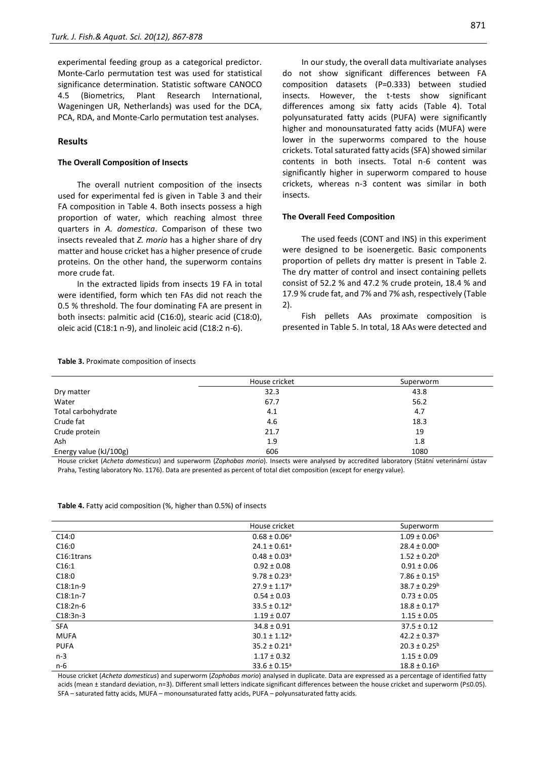experimental feeding group as a categorical predictor. Monte-Carlo permutation test was used for statistical significance determination. Statistic software CANOCO 4.5 (Biometrics, Plant Research International, Wageningen UR, Netherlands) was used for the DCA, PCA, RDA, and Monte-Carlo permutation test analyses.

#### **Results**

## **The Overall Composition of Insects**

The overall nutrient composition of the insects used for experimental fed is given in Table 3 and their FA composition in Table 4. Both insects possess a high proportion of water, which reaching almost three quarters in *A. domestica*. Comparison of these two insects revealed that *Z. morio* has a higher share of dry matter and house cricket has a higher presence of crude proteins. On the other hand, the superworm contains more crude fat.

In the extracted lipids from insects 19 FA in total were identified, form which ten FAs did not reach the 0.5 % threshold. The four dominating FA are present in both insects: palmitic acid (C16:0), stearic acid (C18:0), oleic acid (C18:1 n-9), and linoleic acid (C18:2 n-6).

In our study, the overall data multivariate analyses do not show significant differences between FA composition datasets (P=0.333) between studied insects. However, the t-tests show significant differences among six fatty acids (Table 4). Total polyunsaturated fatty acids (PUFA) were significantly higher and monounsaturated fatty acids (MUFA) were lower in the superworms compared to the house crickets. Total saturated fatty acids (SFA) showed similar contents in both insects. Total n-6 content was significantly higher in superworm compared to house crickets, whereas n-3 content was similar in both insects.

#### **The Overall Feed Composition**

The used feeds (CONT and INS) in this experiment were designed to be isoenergetic. Basic components proportion of pellets dry matter is present in Table 2. The dry matter of control and insect containing pellets consist of 52.2 % and 47.2 % crude protein, 18.4 % and 17.9 % crude fat, and 7% and 7% ash, respectively (Table 2).

Fish pellets AAs proximate composition is presented in Table 5. In total, 18 AAs were detected and

| Table 3. Proximate composition of insects |  |  |
|-------------------------------------------|--|--|
|-------------------------------------------|--|--|

|                        | House cricket | Superworm |  |
|------------------------|---------------|-----------|--|
| Dry matter             | 32.3          | 43.8      |  |
| Water                  | 67.7          | 56.2      |  |
| Total carbohydrate     | 4.1           | 4.7       |  |
| Crude fat              | 4.6           | 18.3      |  |
| Crude protein          | 21.7          | 19        |  |
| Ash                    | 1.9           | 1.8       |  |
| Energy value (kJ/100g) | 606           | 1080      |  |

House cricket (*Acheta domesticus*) and superworm (*Zophobas morio*). Insects were analysed by accredited laboratory (Státní veterinární ústav Praha, Testing laboratory No. 1176). Data are presented as percent of total diet composition (except for energy value).

| Table 4. Fatty acid composition (%, higher than 0.5%) of insects |  |  |  |
|------------------------------------------------------------------|--|--|--|
|------------------------------------------------------------------|--|--|--|

| House cricket                | Superworm               |
|------------------------------|-------------------------|
| $0.68 \pm 0.06^{\text{a}}$   | $1.09 \pm 0.06^b$       |
| $24.1 \pm 0.61$ <sup>a</sup> | $28.4 \pm 0.00^{\rm b}$ |
| $0.48 \pm 0.03$ <sup>a</sup> | $1.52 \pm 0.20^b$       |
| $0.92 \pm 0.08$              | $0.91 \pm 0.06$         |
| $9.78 \pm 0.23$ <sup>a</sup> | $7.86 \pm 0.15^b$       |
| $27.9 \pm 1.17$ <sup>a</sup> | $38.7 \pm 0.29^b$       |
| $0.54 \pm 0.03$              | $0.73 \pm 0.05$         |
| $33.5 \pm 0.12$ <sup>a</sup> | $18.8 \pm 0.17^b$       |
| $1.19 \pm 0.07$              | $1.15 \pm 0.05$         |
| $34.8 \pm 0.91$              | $37.5 \pm 0.12$         |
| $30.1 \pm 1.12$ <sup>a</sup> | $42.2 \pm 0.37^b$       |
| $35.2 \pm 0.21$ <sup>a</sup> | $20.3 \pm 0.25^{\circ}$ |
| $1.17 \pm 0.32$              | $1.15 \pm 0.09$         |
| $33.6 \pm 0.15^{\circ}$      | $18.8 \pm 0.16^b$       |
|                              |                         |

House cricket (*Acheta domesticus*) and superworm (*Zophobas morio*) analysed in duplicate. Data are expressed as a percentage of identified fatty acids (mean ± standard deviation, n=3). Different small letters indicate significant differences between the house cricket and superworm (P≤0.05). SFA – saturated fatty acids, MUFA – monounsaturated fatty acids, PUFA – polyunsaturated fatty acids.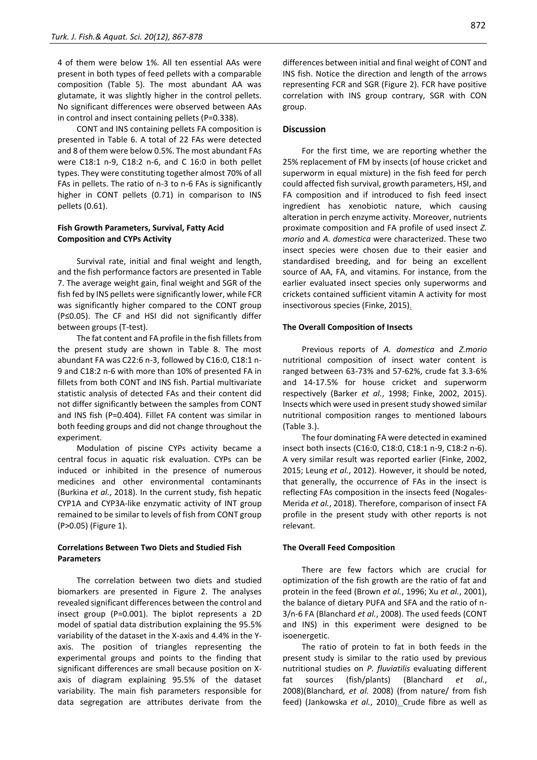4 of them were below 1%. All ten essential AAs were present in both types of feed pellets with a comparable composition (Table 5). The most abundant AA was glutamate, it was slightly higher in the control pellets. No significant differences were observed between AAs in control and insect containing pellets (P=0.338).

CONT and INS containing pellets FA composition is presented in Table 6. A total of 22 FAs were detected and 8 of them were below 0.5%. The most abundant FAs were C18:1 n-9, C18:2 n-6, and C 16:0 in both pellet types. They were constituting together almost 70% of all FAs in pellets. The ratio of n-3 to n-6 FAs is significantly higher in CONT pellets (0.71) in comparison to INS pellets (0.61).

## **Fish Growth Parameters, Survival, Fatty Acid Composition and CYPs Activity**

Survival rate, initial and final weight and length, and the fish performance factors are presented in Table 7. The average weight gain, final weight and SGR of the fish fed by INS pellets were significantly lower, while FCR was significantly higher compared to the CONT group (P≤0.05). The CF and HSI did not significantly differ between groups (T-test).

The fat content and FA profile in the fish fillets from the present study are shown in Table 8. The most abundant FA was C22:6 n-3, followed by C16:0, C18:1 n-9 and C18:2 n-6 with more than 10% of presented FA in fillets from both CONT and INS fish. Partial multivariate statistic analysis of detected FAs and their content did not differ significantly between the samples from CONT and INS fish (P=0.404). Fillet FA content was similar in both feeding groups and did not change throughout the experiment.

Modulation of piscine CYPs activity became a central focus in aquatic risk evaluation. CYPs can be induced or inhibited in the presence of numerous medicines and other environmental contaminants (Burkina *et al.*, 2018). In the current study, fish hepatic CYP1A and CYP3A-like enzymatic activity of INT group remained to be similar to levels of fish from CONT group (P>0.05) (Figure 1).

# **Correlations Between Two Diets and Studied Fish Parameters**

The correlation between two diets and studied biomarkers are presented in Figure 2. The analyses revealed significant differences between the control and insect group (P=0.001). The biplot represents a 2D model of spatial data distribution explaining the 95.5% variability of the dataset in the X-axis and 4.4% in the Yaxis. The position of triangles representing the experimental groups and points to the finding that significant differences are small because position on Xaxis of diagram explaining 95.5% of the dataset variability. The main fish parameters responsible for data segregation are attributes derivate from the differences between initial and final weight of CONT and INS fish. Notice the direction and length of the arrows representing FCR and SGR (Figure 2). FCR have positive correlation with INS group contrary, SGR with CON group.

## **Discussion**

For the first time, we are reporting whether the 25% replacement of FM by insects (of house cricket and superworm in equal mixture) in the fish feed for perch could affected fish survival, growth parameters, HSI, and FA composition and if introduced to fish feed insect ingredient has xenobiotic nature, which causing alteration in perch enzyme activity. Moreover, nutrients proximate composition and FA profile of used insect *Z. morio* and *A. domestica* were characterized. These two insect species were chosen due to their easier and standardised breeding, and for being an excellent source of AA, FA, and vitamins. For instance, from the earlier evaluated insect species only superworms and crickets contained sufficient vitamin A activity for most insectivorous species (Finke, 2015[\).](#page-10-1)

## **The Overall Composition of Insects**

Previous reports of *A. domestica* and *Z.morio* nutritional composition of insect water content is ranged between 63-73% and 57-62%, crude fat 3.3-6% and 14-17.5% for house cricket and superworm respectively (Barker *et al.*, 1998; Finke, 2002, 2015). Insects which were used in present study showed similar nutritional composition ranges to mentioned labours (Table 3.).

The four dominating FA were detected in examined insect both insects (C16:0, C18:0, C18:1 n-9, C18:2 n-6). A very similar result was reported earlier (Finke, 2002, 2015; Leung *et al.*, 2012). However, it should be noted, that generally, the occurrence of FAs in the insect is reflecting FAs composition in the insects feed (Nogales-Merida *et al.*, 2018). Therefore, comparison of insect FA profile in the present study with other reports is not relevant.

## **The Overall Feed Composition**

There are few factors which are crucial for optimization of the fish growth are the ratio of fat and protein in the feed (Brown *et al.*, 1996; Xu *et al.*, 2001), the balance of dietary PUFA and SFA and the ratio of n-3/n-6 FA (Blanchard *et al.*, 2008). The used feeds (CONT and INS) in this experiment were designed to be isoenergetic.

The ratio of protein to fat in both feeds in the present study is similar to the ratio used by previous nutritional studies on *P. fluviatilis* evaluating different fat sources (fish/plants) (Blanchard *et al.*, 2008)(Blanchard*, et al.* 2008) (from nature/ from fish feed) (Jankowska *et al.*, 2010[\). C](#page-11-4)rude fibre as well as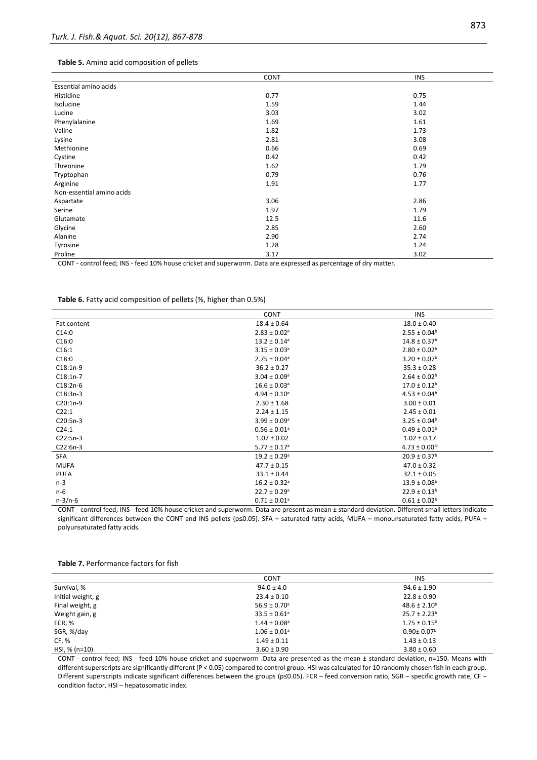#### **Table 5.** Amino acid composition of pellets

|                           | CONT | <b>INS</b> |
|---------------------------|------|------------|
| Essential amino acids     |      |            |
| Histidine                 | 0.77 | 0.75       |
| Isolucine                 | 1.59 | 1.44       |
| Lucine                    | 3.03 | 3.02       |
| Phenylalanine             | 1.69 | 1.61       |
| Valine                    | 1.82 | 1.73       |
| Lysine                    | 2.81 | 3.08       |
| Methionine                | 0.66 | 0.69       |
| Cystine                   | 0.42 | 0.42       |
| Threonine                 | 1.62 | 1.79       |
| Tryptophan                | 0.79 | 0.76       |
| Arginine                  | 1.91 | 1.77       |
| Non-essential amino acids |      |            |
| Aspartate                 | 3.06 | 2.86       |
| Serine                    | 1.97 | 1.79       |
| Glutamate                 | 12.5 | 11.6       |
| Glycine                   | 2.85 | 2.60       |
| Alanine                   | 2.90 | 2.74       |
| Tyrosine                  | 1.28 | 1.24       |
| Proline                   | 3.17 | 3.02       |

CONT - control feed; INS - feed 10% house cricket and superworm. Data are expressed as percentage of dry matter.

|  |  |  | Table 6. Fatty acid composition of pellets (%, higher than 0.5%) |
|--|--|--|------------------------------------------------------------------|
|--|--|--|------------------------------------------------------------------|

|             | <b>CONT</b>                  | <b>INS</b>                   |
|-------------|------------------------------|------------------------------|
| Fat content | $18.4 \pm 0.64$              | $18.0 \pm 0.40$              |
| C14:0       | $2.83 \pm 0.02$ <sup>a</sup> | $2.55 \pm 0.04^b$            |
| C16:0       | $13.2 \pm 0.14^a$            | $14.8 \pm 0.37$ <sup>b</sup> |
| C16:1       | $3.15 \pm 0.03$ <sup>a</sup> | $2.80 \pm 0.02^b$            |
| C18:0       | $2.75 \pm 0.04$ <sup>a</sup> | $3.20 \pm 0.07^{\rm b}$      |
| $C18:1n-9$  | $36.2 \pm 0.27$              | $35.3 \pm 0.28$              |
| $C18:1n-7$  | $3.04 \pm 0.09^{\circ}$      | $2.64 \pm 0.02$ <sup>b</sup> |
| $C18:2n-6$  | $16.6 \pm 0.03$ <sup>a</sup> | $17.0 \pm 0.12^b$            |
| $C18:3n-3$  | $4.94 \pm 0.10^a$            | $4.53 \pm 0.04^b$            |
| $C20:1n-9$  | $2.30 \pm 1.68$              | $3.00 \pm 0.01$              |
| C22:1       | $2.24 \pm 1.15$              | $2.45 \pm 0.01$              |
| $C20:5n-3$  | $3.99 \pm 0.09^{\circ}$      | $3.25 \pm 0.04^b$            |
| C24:1       | $0.56 \pm 0.01^a$            | $0.49 \pm 0.01^b$            |
| $C22:5n-3$  | $1.07 \pm 0.02$              | $1.02 \pm 0.17$              |
| $C22:6n-3$  | $5.77 \pm 0.17$ <sup>a</sup> | $4.73 \pm 0.00^{\text{ b}}$  |
| <b>SFA</b>  | $19.2 \pm 0.29$ <sup>a</sup> | $20.9 \pm 0.37^b$            |
| <b>MUFA</b> | $47.7 \pm 0.15$              | $47.0 \pm 0.32$              |
| <b>PUFA</b> | $33.1 \pm 0.44$              | $32.1 \pm 0.05$              |
| $n-3$       | $16.2 \pm 0.32$ <sup>a</sup> | $13.9 \pm 0.08^{\rm b}$      |
| n-6         | $22.7 \pm 0.29$ <sup>a</sup> | $22.9 \pm 0.13^b$            |
| $n-3/n-6$   | $0.71 \pm 0.01^a$            | $0.61 \pm 0.02^b$            |

CONT - control feed; INS - feed 10% house cricket and superworm. Data are present as mean ± standard deviation. Different small letters indicate significant differences between the CONT and INS pellets (p≤0.05). SFA – saturated fatty acids, MUFA – monounsaturated fatty acids, PUFA – polyunsaturated fatty acids.

## **Table 7.** Performance factors for fish

|                   | <b>CONT</b>                  | <b>INS</b>                   |
|-------------------|------------------------------|------------------------------|
| Survival, %       | $94.0 \pm 4.0$               | $94.6 \pm 1.90$              |
| Initial weight, g | $23.4 \pm 0.10$              | $22.8 \pm 0.90$              |
| Final weight, g   | $56.9 \pm 0.70$ <sup>a</sup> | $48.6 \pm 2.10^b$            |
| Weight gain, g    | $33.5 \pm 0.61$ <sup>a</sup> | $25.7 \pm 2.23^b$            |
| FCR, %            | $1.44 \pm 0.08$ <sup>a</sup> | $1.75 \pm 0.15^{\circ}$      |
| SGR, %/day        | $1.06 \pm 0.01$ <sup>a</sup> | $0.90 \pm 0.07$ <sup>b</sup> |
| CF, %             | $1.49 \pm 0.11$              | $1.43 \pm 0.13$              |
| HSI, % (n=10)     | $3.60 \pm 0.90$              | $3.80 \pm 0.60$              |

CONT - control feed; INS - feed 10% house cricket and superworm .Data are presented as the mean ± standard deviation, n=150. Means with different superscripts are significantly different (P < 0.05) compared to control group. HSI was calculated for 10 randomly chosen fish in each group. Different superscripts indicate significant differences between the groups (p≤0.05). FCR – feed conversion ratio, SGR – specific growth rate, CF – condition factor, HSI – hepatosomatic index.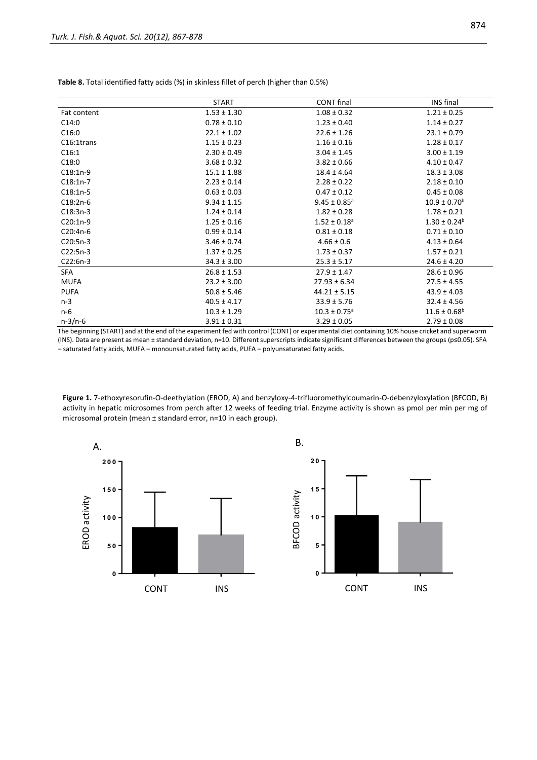|             | <b>START</b>    | <b>CONT</b> final            | <b>INS</b> final             |
|-------------|-----------------|------------------------------|------------------------------|
| Fat content | $1.53 \pm 1.30$ | $1.08 \pm 0.32$              | $1.21 \pm 0.25$              |
| C14:0       | $0.78 \pm 0.10$ | $1.23 \pm 0.40$              | $1.14 \pm 0.27$              |
| C16:0       | $22.1 \pm 1.02$ | $22.6 \pm 1.26$              | $23.1 \pm 0.79$              |
| C16:1trans  | $1.15 \pm 0.23$ | $1.16 \pm 0.16$              | $1.28 \pm 0.17$              |
| C16:1       | $2.30 \pm 0.49$ | $3.04 \pm 1.45$              | $3.00 \pm 1.19$              |
| C18:0       | $3.68 \pm 0.32$ | $3.82 \pm 0.66$              | $4.10 \pm 0.47$              |
| $C18:1n-9$  | $15.1 \pm 1.88$ | $18.4 \pm 4.64$              | $18.3 \pm 3.08$              |
| $C18:1n-7$  | $2.23 \pm 0.14$ | $2.28 \pm 0.22$              | $2.18 \pm 0.10$              |
| $C18:1n-5$  | $0.63 \pm 0.03$ | $0.47 \pm 0.12$              | $0.45 \pm 0.08$              |
| $C18:2n-6$  | $9.34 \pm 1.15$ | $9.45 \pm 0.85$ <sup>a</sup> | $10.9 \pm 0.70^{\rm b}$      |
| $C18:3n-3$  | $1.24 \pm 0.14$ | $1.82 \pm 0.28$              | $1.78 \pm 0.21$              |
| $C20:1n-9$  | $1.25 \pm 0.16$ | $1.52 \pm 0.18$ <sup>a</sup> | $1.30 \pm 0.24$ <sup>b</sup> |
| C20:4n-6    | $0.99 \pm 0.14$ | $0.81 \pm 0.18$              | $0.71 \pm 0.10$              |
| $C20:5n-3$  | $3.46 \pm 0.74$ | $4.66 \pm 0.6$               | $4.13 \pm 0.64$              |
| $C22:5n-3$  | $1.37 \pm 0.25$ | $1.73 \pm 0.37$              | $1.57 \pm 0.21$              |
| $C22:6n-3$  | $34.3 \pm 3.00$ | $25.3 \pm 5.17$              | $24.6 \pm 4.20$              |
| <b>SFA</b>  | $26.8 \pm 1.53$ | $27.9 \pm 1.47$              | $28.6 \pm 0.96$              |
| <b>MUFA</b> | $23.2 \pm 3.00$ | $27.93 \pm 6.34$             | $27.5 \pm 4.55$              |
| <b>PUFA</b> | $50.8 \pm 5.46$ | $44.21 \pm 5.15$             | $43.9 \pm 4.03$              |
| $n-3$       | $40.5 \pm 4.17$ | $33.9 \pm 5.76$              | $32.4 \pm 4.56$              |
| n-6         | $10.3 \pm 1.29$ | $10.3 \pm 0.75$ <sup>a</sup> | $11.6 \pm 0.68$ <sup>b</sup> |
| $n-3/n-6$   | $3.91 \pm 0.31$ | $3.29 \pm 0.05$              | $2.79 \pm 0.08$              |

**Table 8.** Total identified fatty acids (%) in skinless fillet of perch (higher than 0.5%)

The beginning (START) and at the end of the experiment fed with control (CONT) or experimental diet containing 10% house cricket and superworm (INS). Data are present as mean ± standard deviation, n=10. Different superscripts indicate significant differences between the groups (p≤0.05). SFA – saturated fatty acids, MUFA – monounsaturated fatty acids, PUFA – polyunsaturated fatty acids.

**Figure 1.** 7-ethoxyresorufin-O-deethylation (EROD, A) and benzyloxy-4-trifluoromethylcoumarin-O-debenzyloxylation (BFCOD, B) activity in hepatic microsomes from perch after 12 weeks of feeding trial. Enzyme activity is shown as pmol per min per mg of microsomal protein (mean ± standard error, n=10 in each group).



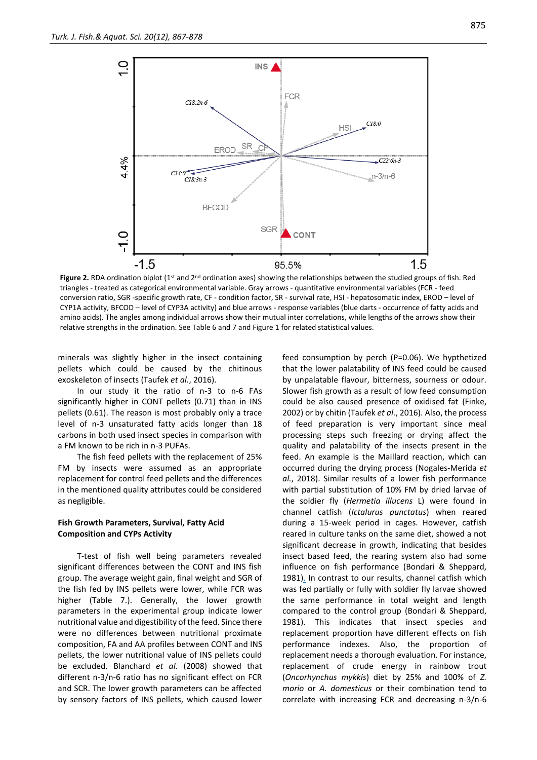

**Figure 2.** RDA ordination biplot (1<sup>st</sup> and 2<sup>nd</sup> ordination axes) showing the relationships between the studied groups of fish. Red triangles - treated as categorical environmental variable. Gray arrows - quantitative environmental variables (FCR - feed conversion ratio, SGR -specific growth rate, CF - condition factor, SR - survival rate, HSI - hepatosomatic index, EROD – level of CYP1A activity, BFCOD – level of CYP3A activity) and blue arrows - response variables (blue darts - occurrence of fatty acids and amino acids). The angles among individual arrows show their mutual inter correlations, while lengths of the arrows show their relative strengths in the ordination. See Table 6 and 7 and Figure 1 for related statistical values.

minerals was slightly higher in the insect containing pellets which could be caused by the chitinous exoskeleton of insects (Taufek *et al.*, 2016).

In our study it the ratio of n-3 to n-6 FAs significantly higher in CONT pellets (0.71) than in INS pellets (0.61). The reason is most probably only a trace level of n-3 unsaturated fatty acids longer than 18 carbons in both used insect species in comparison with a FM known to be rich in n-3 PUFAs.

The fish feed pellets with the replacement of 25% FM by insects were assumed as an appropriate replacement for control feed pellets and the differences in the mentioned quality attributes could be considered as negligible.

## **Fish Growth Parameters, Survival, Fatty Acid Composition and CYPs Activity**

T-test of fish well being parameters revealed significant differences between the CONT and INS fish group. The average weight gain, final weight and SGR of the fish fed by INS pellets were lower, while FCR was higher (Table 7.). Generally, the lower growth parameters in the experimental group indicate lower nutritional value and digestibility of the feed. Since there were no differences between nutritional proximate composition, FA and AA profiles between CONT and INS pellets, the lower nutritional value of INS pellets could be excluded. Blanchard *et al.* (2008) showed that different n-3/n-6 ratio has no significant effect on FCR and SCR. The lower growth parameters can be affected by sensory factors of INS pellets, which caused lower feed consumption by perch (P=0.06). We hypthetized that the lower palatability of INS feed could be caused by unpalatable flavour, bitterness, sourness or odour. Slower fish growth as a result of low feed consumption could be also caused presence of oxidised fat (Finke, 2002) or by chitin (Taufek *et al.*, 2016). Also, the process of feed preparation is very important since meal processing steps such freezing or drying affect the quality and palatability of the insects present in the feed. An example is the Maillard reaction, which can occurred during the drying process [\(Nogales-Merida](#page-11-3) *et al.*[, 2018\)](#page-11-3). Similar results of a lower fish performance with partial substitution of 10% FM by dried larvae of the soldier fly (*Hermetia illucens* L) were found in channel catfish (*Ictalurus punctatus*) when reared during a 15-week period in cages. However, catfish reared in culture tanks on the same diet, showed a not significant decrease in growth, indicating that besides insect based feed, the rearing system also had some influence on fish performance (Bondari & Sheppard, 1981[\).](#page-10-2) In contrast to our results, channel catfish which was fed partially or fully with soldier fly larvae showed the same performance in total weight and length compared to the control group (Bondari & Sheppard, 1981). This indicates that insect species and replacement proportion have different effects on fish performance indexes. Also, the proportion of replacement needs a thorough evaluation. For instance, replacement of crude energy in rainbow trout (*Oncorhynchus mykkis*) diet by 25% and 100% of *Z. morio* or *A. domesticus* or their combination tend to correlate with increasing FCR and decreasing n-3/n-6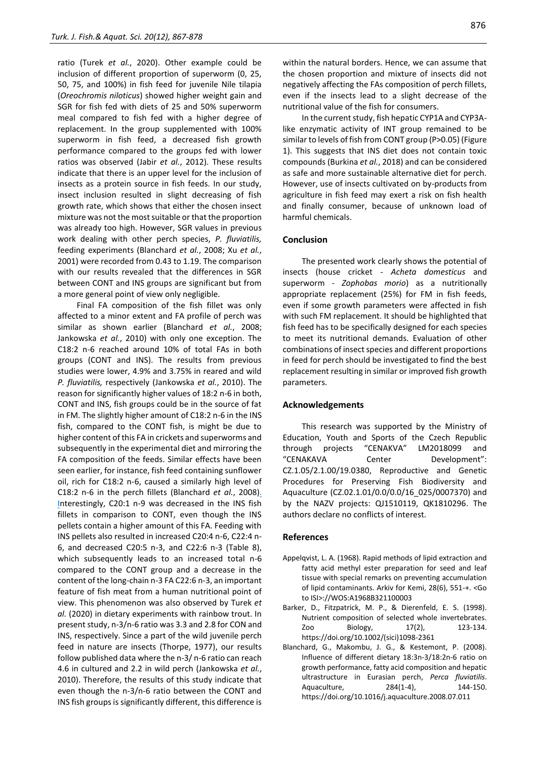ratio (Turek *et al.*[, 2020\)](#page-11-5). Other example could be inclusion of different proportion of superworm (0, 25, 50, 75, and 100%) in fish feed for juvenile Nile tilapia (*Oreochromis niloticus*) showed higher weight gain and SGR for fish fed with diets of 25 and 50% superworm meal compared to fish fed with a higher degree of replacement. In the group supplemented with 100% superworm in fish feed, a decreased fish growth performance compared to the groups fed with lower ratios was observed (Jabir *et al.*, 2012). These results indicate that there is an upper level for the inclusion of insects as a protein source in fish feeds. In our study, insect inclusion resulted in slight decreasing of fish growth rate, which shows that either the chosen insect mixture was not the most suitable or that the proportion was already too high. However, SGR values in previous work dealing with other perch species, *P. fluviatilis,*  feeding experiments (Blanchard *et al.*, 2008; Xu *et al.*, 2001) were recorded from 0.43 to 1.19. The comparison with our results revealed that the differences in SGR between CONT and INS groups are significant but from a more general point of view only negligible.

Final FA composition of the fish fillet was only affected to a minor extent and FA profile of perch was similar as shown earlier (Blanchard *et al.*, 2008; Jankowska *et al.*, 2010) with only one exception. The C18:2 n-6 reached around 10% of total FAs in both groups (CONT and INS). The results from previous studies were lower, 4.9% and 3.75% in reared and wild *P. fluviatilis,* respectively (Jankowska *et al.*, 2010). The reason for significantly higher values of 18:2 n-6 in both, CONT and INS, fish groups could be in the source of fat in FM. The slightly higher amount of C18:2 n-6 in the INS fish, compared to the CONT fish, is might be due to higher content of this FA in crickets and superworms and subsequently in the experimental diet and mirroring the FA composition of the feeds. Similar effects have been seen earlier, for instance, fish feed containing sunflower oil, rich for C18:2 n-6, caused a similarly high level of C18:2 n-6 in the perch fillets (Blanchard *et al.*, 2008[\).](#page-9-0)  [In](#page-9-0)terestingly, C20:1 n-9 was decreased in the INS fish fillets in comparison to CONT, even though the INS pellets contain a higher amount of this FA. Feeding with INS pellets also resulted in increased C20:4 n-6, C22:4 n-6, and decreased C20:5 n-3, and C22:6 n-3 (Table 8), which subsequently leads to an increased total n-6 compared to the CONT group and a decrease in the content of the long-chain n-3 FA C22:6 n-3, an important feature of fish meat from a human nutritional point of view. This phenomenon was also observed by Turek *et al.* (2020) in dietary experiments with rainbow trout. In present study, n-3/n-6 ratio was 3.3 and 2.8 for CON and INS, respectively. Since a part of the wild juvenile perch feed in nature are insects (Thorpe, 1977), our results follow published data where the n-3/ n-6 ratio can reach 4.6 in cultured and 2.2 in wild perch [\(Jankowska](#page-10-3) *et al.*, [2010\)](#page-10-3). Therefore, the results of this study indicate that even though the n-3/n-6 ratio between the CONT and INS fish groups is significantly different, this difference is within the natural borders. Hence, we can assume that the chosen proportion and mixture of insects did not negatively affecting the FAs composition of perch fillets, even if the insects lead to a slight decrease of the nutritional value of the fish for consumers.

In the current study, fish hepatic CYP1A and CYP3Alike enzymatic activity of INT group remained to be similar to levels of fish from CONT group (P>0.05) (Figure 1). This suggests that INS diet does not contain toxic compounds (Burkina *et al.*, 2018) and can be considered as safe and more sustainable alternative diet for perch. However, use of insects cultivated on by-products from agriculture in fish feed may exert a risk on fish health and finally consumer, because of unknown load of harmful chemicals.

## **Conclusion**

The presented work clearly shows the potential of insects (house cricket - *Acheta domesticus* and superworm - *Zophobas morio*) as a nutritionally appropriate replacement (25%) for FM in fish feeds, even if some growth parameters were affected in fish with such FM replacement. It should be highlighted that fish feed has to be specifically designed for each species to meet its nutritional demands. Evaluation of other combinations of insect species and different proportions in feed for perch should be investigated to find the best replacement resulting in similar or improved fish growth parameters.

## **Acknowledgements**

This research was supported by the Ministry of Education, Youth and Sports of the Czech Republic through projects "CENAKVA" LM2018099 and "CENAKAVA Center Development": CZ.1.05/2.1.00/19.0380, Reproductive and Genetic Procedures for Preserving Fish Biodiversity and Aquaculture (CZ.02.1.01/0.0/0.0/16\_025/0007370) and by the NAZV projects: QJ1510119, QK1810296. The authors declare no conflicts of interest.

## **References**

- Appelqvist, L. A. (1968). Rapid methods of lipid extraction and fatty acid methyl ester preparation for seed and leaf tissue with special remarks on preventing accumulation of lipid contaminants. Arkiv for Kemi, 28(6), 551-+. <Go to ISI>://WOS:A1968B321100003
- Barker, D., Fitzpatrick, M. P., & Dierenfeld, E. S. (1998). Nutrient composition of selected whole invertebrates. Zoo Biology, 17(2), 123-134. https://doi.org/10.1002/(sici)1098-2361
- <span id="page-9-0"></span>Blanchard, G., Makombu, J. G., & Kestemont, P. (2008). Influence of different dietary 18:3n-3/18:2n-6 ratio on growth performance, fatty acid composition and hepatic ultrastructure in Eurasian perch, *Perca fluviatilis*. Aquaculture, 284(1-4), 144-150. https://doi.org/10.1016/j.aquaculture.2008.07.011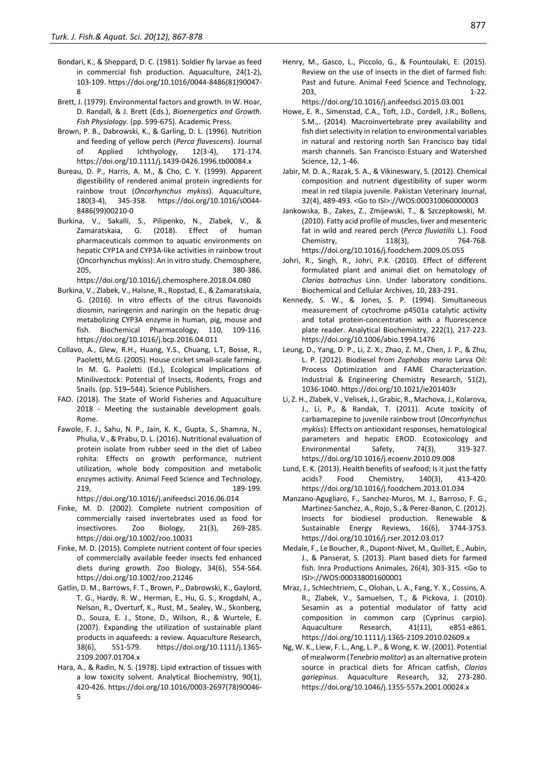- <span id="page-10-2"></span>Bondari, K., & Sheppard, D. C. (1981). Soldier fly larvae as feed in commercial fish production. Aquaculture, 24(1-2), 103-109. https://doi.org/10.1016/0044-8486(81)90047- 8
- Brett, J. (1979). Environmental factors and growth. In W. Hoar, D. Randall, & J. Brett (Eds.), *Bioenergetics and Growth. Fish Physiology.* (pp. 599-675). Academic Press.
- <span id="page-10-0"></span>Brown, P. B., Dabrowski, K., & Garling, D. L. (1996). Nutrition and feeding of yellow perch (*Perca flavescens*). Journal Applied Ichthyology, 12(3-4), 171-174. https://doi.org/10.1111/j.1439-0426.1996.tb00084.x
- Bureau, D. P., Harris, A. M., & Cho, C. Y. (1999). Apparent digestibility of rendered animal protein ingredients for rainbow trout (*Oncorhynchus mykiss*). Aquaculture, 180(3-4), 345-358. https://doi.org/10.1016/s0044- 8486(99)00210-0
- Burkina, V., Sakalli, S., Pilipenko, N., Zlabek, V., & Zamaratskaia, G. (2018). Effect of human pharmaceuticals common to aquatic environments on hepatic CYP1A and CYP3A-like activities in rainbow trout (Oncorhynchus mykiss): An in vitro study. Chemosphere, 205, 380-386. https://doi.org/10.1016/j.chemosphere.2018.04.080
- Burkina, V., Zlabek, V., Halsne, R., Ropstad, E., & Zamaratskaia, G. (2016). In vitro effects of the citrus flavonoids diosmin, naringenin and naringin on the hepatic drugmetabolizing CYP3A enzyme in human, pig, mouse and fish. Biochemical Pharmacology, 110, 109-116. https://doi.org/10.1016/j.bcp.2016.04.011
- Collavo, A., Glew, R.H., Huang, Y.S., Chuang, L.T, Bosse, R., Paoletti, M.G. (2005). House cricket small-scale farming. In M. G. Paoletti (Ed.), Ecological Implications of Minilivestock: Potential of Insects, Rodents, Frogs and Snails. (pp. 519–544). Science Publishers.
- FAO. (2018). The State of World Fisheries and Aquaculture 2018 - Meeting the sustainable development goals. Rome.
- Fawole, F. J., Sahu, N. P., Jain, K. K., Gupta, S., Shamna, N., Phulia, V., & Prabu, D. L. (2016). Nutritional evaluation of protein isolate from rubber seed in the diet of Labeo rohita: Effects on growth performance, nutrient utilization, whole body composition and metabolic enzymes activity. Animal Feed Science and Technology, 219, 189-199.

https://doi.org/10.1016/j.anifeedsci.2016.06.014

- <span id="page-10-1"></span>Finke, M. D. (2002). Complete nutrient composition of commercially raised invertebrates used as food for insectivores. Zoo Biology, 21(3), 269-285. https://doi.org/10.1002/zoo.10031
- Finke, M. D. (2015). Complete nutrient content of four species of commercially available feeder insects fed enhanced diets during growth. Zoo Biology, 34(6), 554-564. https://doi.org/10.1002/zoo.21246
- Gatlin, D. M., Barrows, F. T., Brown, P., Dabrowski, K., Gaylord, T. G., Hardy, R. W., Herman, E., Hu, G. S., Krogdahl, A., Nelson, R., Overturf, K., Rust, M., Sealey, W., Skonberg, D., Souza, E. J., Stone, D., Wilson, R., & Wurtele, E. (2007). Expanding the utilization of sustainable plant products in aquafeeds: a review. Aquaculture Research, 38(6), 551-579. https://doi.org/10.1111/j.1365- 2109.2007.01704.x
- Hara, A., & Radin, N. S. (1978). Lipid extraction of tissues with a low toxicity solvent. Analytical Biochemistry, 90(1), 420-426. https://doi.org/10.1016/0003-2697(78)90046- 5

Henry, M., Gasco, L., Piccolo, G., & Fountoulaki, E. (2015). Review on the use of insects in the diet of farmed fish: Past and future. Animal Feed Science and Technology, 203, 1-22. https://doi.org/10.1016/j.anifeedsci.2015.03.001

Howe, E. R., Simenstad, C.A., Toft, J.D., Cordell, J.R., Bollens, S.M.,. (2014). Macroinvertebrate prey availability and fish diet selectivity in relation to environmental variables in natural and restoring north San Francisco bay tidal marsh channels. San Francisco Estuary and Watershed Science, 12, 1-46.

- Jabir, M. D. A., Razak, S. A., & Vikineswary, S. (2012). Chemical composition and nutrient digestibility of super worm meal in red tilapia juvenile. Pakistan Veterinary Journal, 32(4), 489-493. <Go to ISI>://WOS:000310060000003
- <span id="page-10-3"></span>Jankowska, B., Zakes, Z., Zmijewski, T., & Szczepkowski, M. (2010). Fatty acid profile of muscles, liver and mesenteric fat in wild and reared perch (*Perca fluviatilis* L.). Food Chemistry, 118(3), 764-768. https://doi.org/10.1016/j.foodchem.2009.05.055
- Johri, R., Singh, R., Johri, P.K. (2010). Effect of different formulated plant and animal diet on hematology of *Clarias batrachus* Linn. Under laboratory conditions. Biochemical and Cellular Archives, 10, 283-291.
- Kennedy, S. W., & Jones, S. P. (1994). Simultaneous measurement of cytochrome p4501a catalytic activity and total protein-concentration with a fluorescence plate reader. Analytical Biochemistry, 222(1), 217-223. https://doi.org/10.1006/abio.1994.1476
- Leung, D., Yang, D. P., Li, Z. X., Zhao, Z. M., Chen, J. P., & Zhu, L. P. (2012). Biodiesel from *Zophobas morio* Larva Oil: Process Optimization and FAME Characterization. Industrial & Engineering Chemistry Research, 51(2), 1036-1040. https://doi.org/10.1021/ie201403r
- Li, Z. H., Zlabek, V., Velisek, J., Grabic, R., Machova, J., Kolarova, J., Li, P., & Randak, T. (2011). Acute toxicity of carbamazepine to juvenile rainbow trout (*Oncorhynchus mykiss*): Effects on antioxidant responses, hematological parameters and hepatic EROD. Ecotoxicology and Environmental Safety, 74(3), 319-327. https://doi.org/10.1016/j.ecoenv.2010.09.008
- Lund, E. K. (2013). Health benefits of seafood; Is it just the fatty acids? Food Chemistry, 140(3), 413-420. https://doi.org/10.1016/j.foodchem.2013.01.034
- Manzano-Agugliaro, F., Sanchez-Muros, M. J., Barroso, F. G., Martinez-Sanchez, A., Rojo, S., & Perez-Banon, C. (2012). Insects for biodiesel production. Renewable & Sustainable Energy Reviews, 16(6), 3744-3753. https://doi.org/10.1016/j.rser.2012.03.017
- Medale, F., Le Boucher, R., Dupont-Nivet, M., Quillet, E., Aubin, J., & Panserat, S. (2013). Plant based diets for farmed fish. Inra Productions Animales, 26(4), 303-315. <Go to ISI>://WOS:000338001600001
- Mraz, J., Schlechtriem, C., Olohan, L. A., Fang, Y. X., Cossins, A. R., Zlabek, V., Samuelsen, T., & Pickova, J. (2010). Sesamin as a potential modulator of fatty acid composition in common carp (Cyprinus carpio). Aquaculture Research, 41(11), e851-e861. https://doi.org/10.1111/j.1365-2109.2010.02609.x
- Ng, W. K., Liew, F. L., Ang, L. P., & Wong, K. W. (2001). Potential of mealworm (*Tenebrio molitor*) as an alternative protein source in practical diets for African catfish, *Clarias gariepinus*. Aquaculture Research, 32, 273-280. https://doi.org/10.1046/j.1355-557x.2001.00024.x